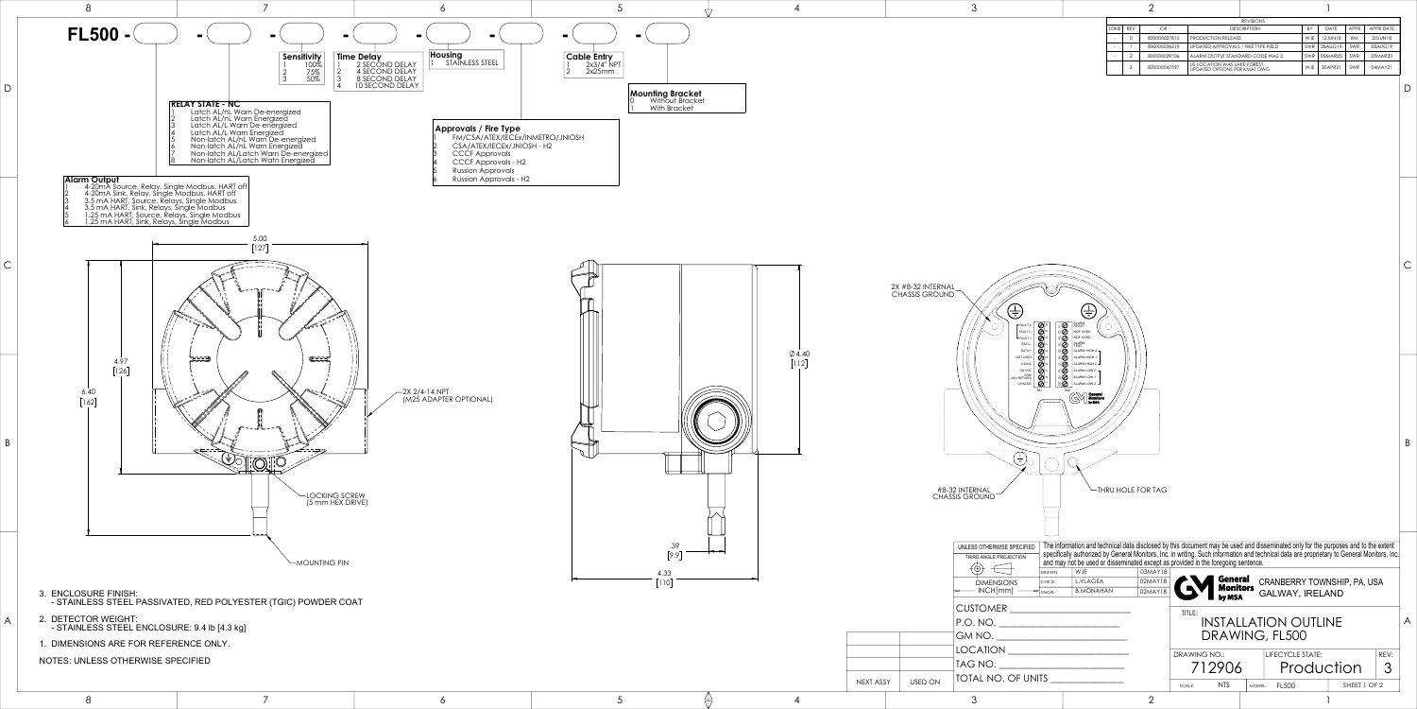

UNLESS OTHERWISE SPECIFIED The information and technical data disclosed by this document may be used and disseminated only for the purposes and to the extent specifically authorized by General Monitors, Inc. in writing. Such information and technical data are proprietary to General Monitors, Inc. and may not be used or disseminated except as provided in the foregoing sentence.

B

C

D

|                                                                                                                             |  |  | $\lfloor$ יי $\lfloor$ |           | DRAWN<br>WJE<br><b>L.VLAGEA</b><br><b>DIMENSIONS</b><br>CHK'D. | <b>AND</b> General             | CRANBERRY TOWNSHIP, PA, USA                |
|-----------------------------------------------------------------------------------------------------------------------------|--|--|------------------------|-----------|----------------------------------------------------------------|--------------------------------|--------------------------------------------|
| URE FINISH:<br>ESS STEEL PASSIVATED, RED POLYESTER (TGIC) POWDER COAT<br>OR WEIGHT:<br>ESS STEEL ENCLOSURE: 9.4 lb [4.3 kg] |  |  |                        |           | < MCH[mm]<br>B.MONAHAN<br>$\rightarrow$ ENGR                   |                                | Monitors GALWAY, IRELAND                   |
|                                                                                                                             |  |  |                        |           | <b>CUSTOMER</b><br> P.O. NO.                                   | TITLE:                         | <b>INSTALLATION OUTLINE</b>                |
| IONS ARE FOR REFERENCE ONLY.                                                                                                |  |  |                        |           | GM NO.                                                         |                                | DRAWING, FL500                             |
| <b>LESS OTHERWISE SPECIFIED</b>                                                                                             |  |  |                        |           | <b>LOCATION</b>                                                | DRAWING NO.:                   | $ $ REV:<br>LIFECYCLE STATE:               |
|                                                                                                                             |  |  |                        | NEXT ASSY | <b>ITAG NO.</b><br><b>TOTAL NO. OF UNITS</b><br>USED ON        | 712906<br><b>NTS</b><br>SCALE: | Production<br>SHEET 1 OF 2<br>MODEL: FL500 |
|                                                                                                                             |  |  |                        |           |                                                                |                                |                                            |

|             |            |              |                                                              | <b>REVISIONS</b> |            |             |           |           |
|-------------|------------|--------------|--------------------------------------------------------------|------------------|------------|-------------|-----------|-----------|
| <b>ZONE</b> | <b>REV</b> | <b>CR</b>    | <b>DESCRIPTION</b>                                           |                  | BY         | <b>DATE</b> | APPR      | APPR DATE |
|             | 0          | 800000027815 | <b>PRODUCTION RELEASE</b>                                    |                  | <b>WJE</b> | 12.JUN18    | <b>BM</b> | 20JUN18   |
|             |            | 800000036319 | UPDATED APPROVALS / FIRE TYPE FIELD                          |                  | SWR        | 28AUG19     | SWR       | 28AUG19   |
|             | 2          | 800000039706 | ALARM OUTPUT STANDARD CODE WAS 3                             |                  | SWR        | 05MAR20     | SWR       | 05MAR20   |
|             | 3          | 800000047597 | US LOCATION WAS LAKE FOREST,<br>UPDATED OPTIONS PER KMAT DWG |                  | W.JE       | 30APR21     | SWR       | 04MAY21   |